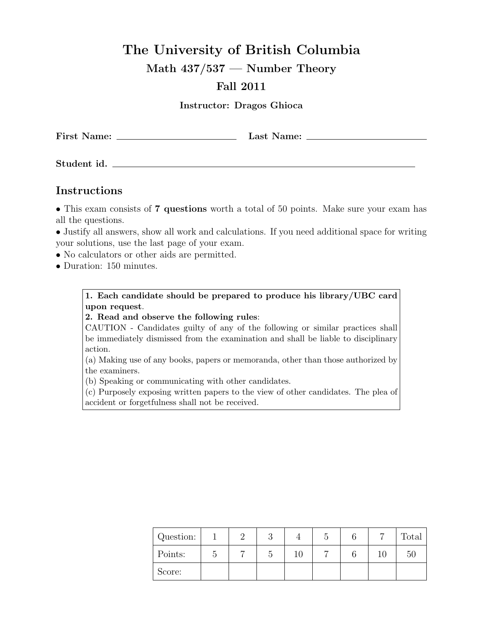## **The University of British Columbia**

**Math 437/537 — Number Theory**

## **Fall 2011**

**Instructor: Dragos Ghioca**

**First Name: Last Name:**

**Student id.**

## **Instructions**

*•* This exam consists of **7 questions** worth a total of 50 points. Make sure your exam has all the questions.

• Justify all answers, show all work and calculations. If you need additional space for writing your solutions, use the last page of your exam.

- No calculators or other aids are permitted.
- *•* Duration: 150 minutes.

**1. Each candidate should be prepared to produce his library/UBC card upon request**.

**2. Read and observe the following rules**:

CAUTION - Candidates guilty of any of the following or similar practices shall be immediately dismissed from the examination and shall be liable to disciplinary action.

(a) Making use of any books, papers or memoranda, other than those authorized by the examiners.

(b) Speaking or communicating with other candidates.

(c) Purposely exposing written papers to the view of other candidates. The plea of accident or forgetfulness shall not be received.

| Question: |  |  |  | Total |
|-----------|--|--|--|-------|
| Points:   |  |  |  | 50    |
| Score:    |  |  |  |       |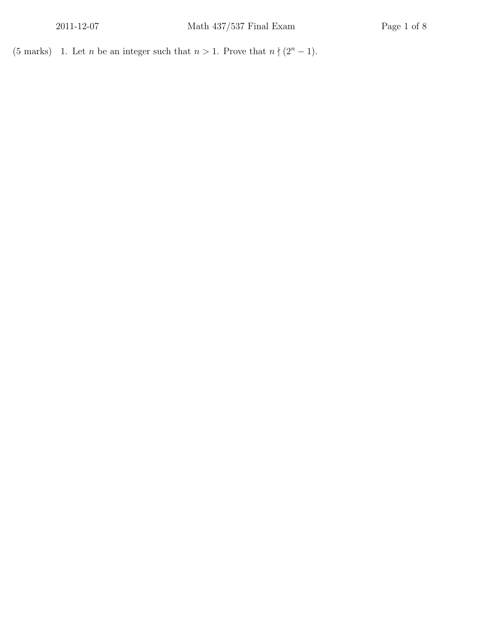(5 marks) 1. Let *n* be an integer such that  $n > 1$ . Prove that  $n \nmid (2^n - 1)$ .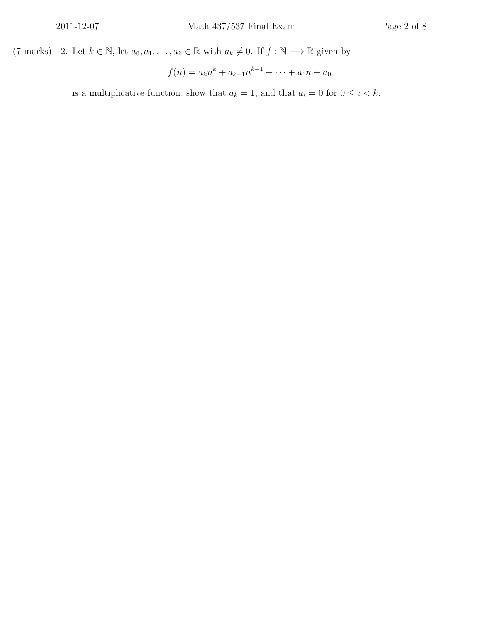(7 marks) 2. Let  $k \in \mathbb{N}$ , let  $a_0, a_1, \ldots, a_k \in \mathbb{R}$  with  $a_k \neq 0$ . If  $f : \mathbb{N} \longrightarrow \mathbb{R}$  given by

$$
f(n) = a_k n^k + a_{k-1} n^{k-1} + \dots + a_1 n + a_0
$$

is a multiplicative function, show that  $a_k = 1$ , and that  $a_i = 0$  for  $0 \le i \le k$ .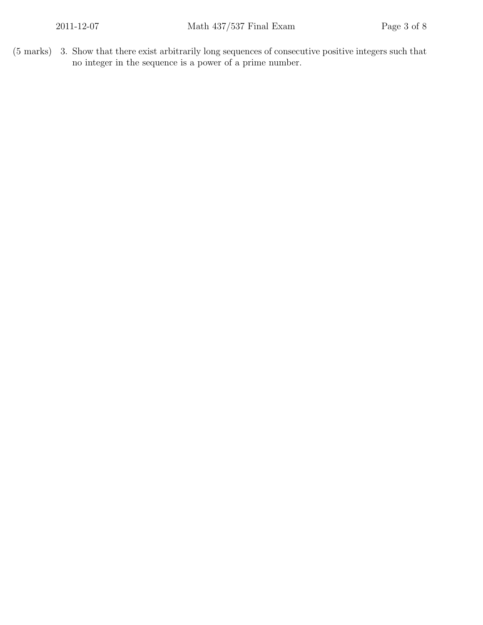(5 marks) 3. Show that there exist arbitrarily long sequences of consecutive positive integers such that no integer in the sequence is a power of a prime number.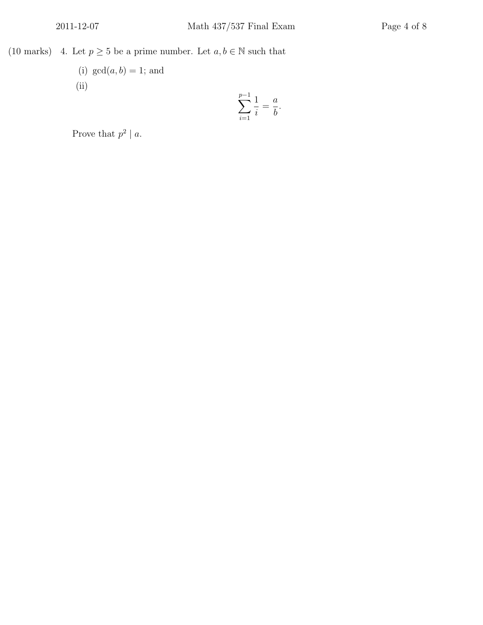(10 marks) 4. Let  $p \ge 5$  be a prime number. Let  $a, b \in \mathbb{N}$  such that

(i)  $gcd(a, b) = 1$ ; and (ii) ∑ *p−*1

$$
\sum_{i=1}^{p-1} \frac{1}{i} = \frac{a}{b}
$$

*.*

Prove that  $p^2 \mid a$ .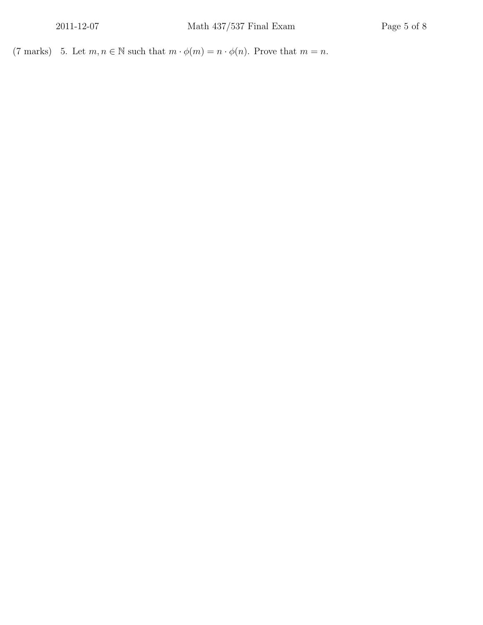(7 marks) 5. Let  $m, n \in \mathbb{N}$  such that  $m \cdot \phi(m) = n \cdot \phi(n)$ . Prove that  $m = n$ .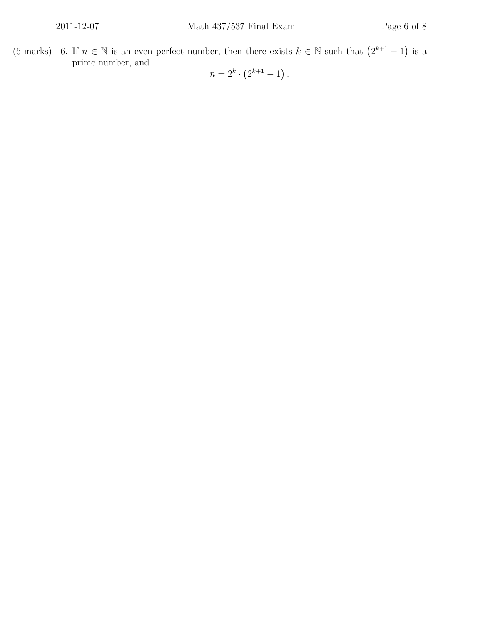(6 marks) 6. If  $n \in \mathbb{N}$  is an even perfect number, then there exists  $k \in \mathbb{N}$  such that  $(2^{k+1} - 1)$  is a prime number, and

 $n = 2^k \cdot (2^{k+1} - 1)$ .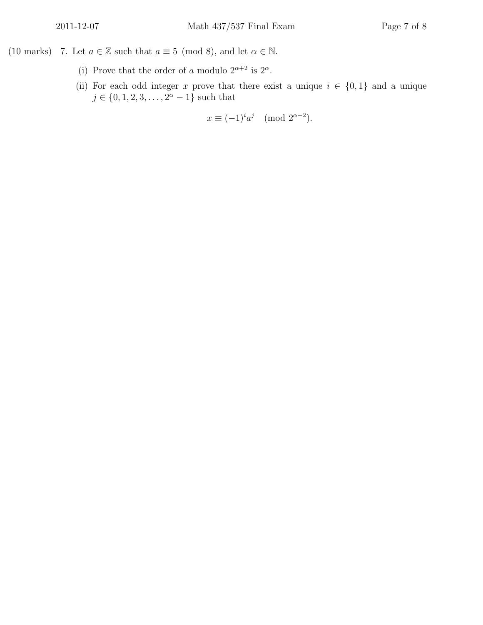- (10 marks) 7. Let  $a \in \mathbb{Z}$  such that  $a \equiv 5 \pmod{8}$ , and let  $\alpha \in \mathbb{N}$ .
	- (i) Prove that the order of *a* modulo  $2^{\alpha+2}$  is  $2^{\alpha}$ .
	- (ii) For each odd integer *x* prove that there exist a unique  $i \in \{0,1\}$  and a unique  $j \in \{0, 1, 2, 3, \ldots, 2^{\alpha} - 1\}$  such that

$$
x \equiv (-1)^i a^j \pmod{2^{\alpha+2}}.
$$